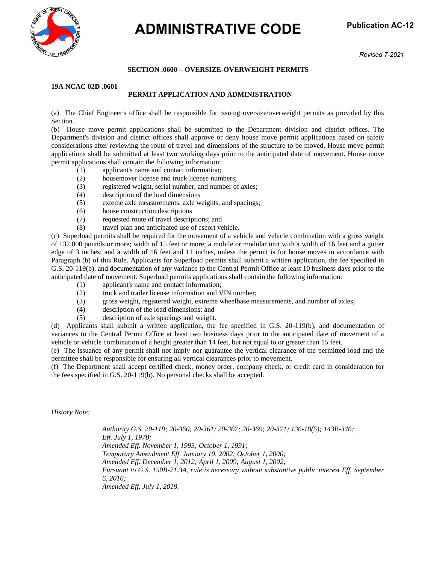

# **ADMINISTRATIVE CODE**

*Revised 7-2021*

## **SECTION .0600 – OVERSIZE-OVERWEIGHT PERMITS**

#### **19A NCAC 02D .0601**

## **PERMIT APPLICATION AND ADMINISTRATION**

(a) The Chief Engineer's office shall be responsible for issuing oversize/overweight permits as provided by this Section.

(b) House move permit applications shall be submitted to the Department division and district offices. The Department's division and district offices shall approve or deny house move permit applications based on safety considerations after reviewing the route of travel and dimensions of the structure to be moved. House move permit applications shall be submitted at least two working days prior to the anticipated date of movement. House move permit applications shall contain the following information:

- (1) applicant's name and contact information;
- (2) housemover license and truck license numbers;
- (3) registered weight, serial number, and number of axles;
- (4) description of the load dimensions
- (5) exteme axle measurements, axle weights, and spacings;
- (6) house construction descriptions
- (7) requested route of travel descriptions; and
- (8) travel plan and anticipated use of escort vehicle.

(c) Superload permits shall be required for the movement of a vehicle and vehicle combination with a gross weight of 132,000 pounds or more; width of 15 feet or more; a mobile or modular unit with a width of 16 feet and a gutter edge of 3 inches; and a width of 16 feet and 11 inches, unless the permit is for house moves in accordance with Paragraph (b) of this Rule. Applicants for Superload permits shall submit a written application, the fee specified in G.S. 20-119(b), and documentation of any variance to the Central Permit Office at least 10 business days prior to the anticipated date of movement. Superload permits applications shall contain the following information:

- (1) applicant's name and contact information;
- (2) truck and trailer license information and VIN number;
- (3) gross weight, registered weight, extreme wheelbase measurements, and number of axles;
- (4) description of the load dimensions; and
- (5) description of axle spacings and weight.

(d) Applicants shall submit a written application, the fee specified in G.S. 20-119(b), and documentation of variances to the Central Permit Office at least two business days prior to the anticipated date of movement of a vehicle or vehicle combination of a height greater than 14 feet, but not equal to or greater than 15 feet.

(e) The issuance of any permit shall not imply nor guarantee the vertical clearance of the permitted load and the permittee shall be responsible for ensuring all vertical clearances prior to movement.

(f) The Department shall accept certified check, money order, company check, or credit card in consideration for the fees specified in G.S. 20-119(b). No personal checks shall be accepted.

*History Note:* 

*Authority G.S. 20-119; 20-360; 20-361; 20-367; 20-369; 20-371; 136-18(5); 143B-346; Eff. July 1, 1978; Amended Eff. November 1, 1993; October 1, 1991; Temporary Amendment Eff. January 10, 2002; October 1, 2000; Amended Eff. December 1, 2012; April 1, 2009; August 1, 2002; Pursuant to G.S. 150B-21.3A, rule is necessary without substantive public interest Eff. September 6, 2016; Amended Eff. July 1, 2019.*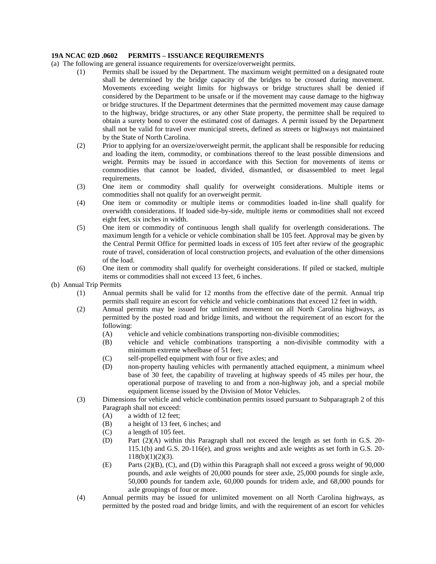### **19A NCAC 02D .0602 PERMITS – ISSUANCE REQUIREMENTS**

- (a) The following are general issuance requirements for oversize/overweight permits.
	- (1) Permits shall be issued by the Department. The maximum weight permitted on a designated route shall be determined by the bridge capacity of the bridges to be crossed during movement. Movements exceeding weight limits for highways or bridge structures shall be denied if considered by the Department to be unsafe or if the movement may cause damage to the highway or bridge structures. If the Department determines that the permitted movement may cause damage to the highway, bridge structures, or any other State property, the permittee shall be required to obtain a surety bond to cover the estimated cost of damages. A permit issued by the Department shall not be valid for travel over municipal streets, defined as streets or highways not maintained by the State of North Carolina.
	- (2) Prior to applying for an oversize/overweight permit, the applicant shall be responsible for reducing and loading the item, commodity, or combinations thereof to the least possible dimensions and weight. Permits may be issued in accordance with this Section for movements of items or commodities that cannot be loaded, divided, dismantled, or disassembled to meet legal requirements.
	- (3) One item or commodity shall qualify for overweight considerations. Multiple items or commodities shall not qualify for an overweight permit.
	- (4) One item or commodity or multiple items or commodities loaded in-line shall qualify for overwidth considerations. If loaded side-by-side, multiple items or commodities shall not exceed eight feet, six inches in width.
	- (5) One item or commodity of continuous length shall qualify for overlength considerations. The maximum length for a vehicle or vehicle combination shall be 105 feet. Approval may be given by the Central Permit Office for permitted loads in excess of 105 feet after review of the geographic route of travel, consideration of local construction projects, and evaluation of the other dimensions of the load.
	- (6) One item or commodity shall qualify for overheight considerations. If piled or stacked, multiple items or commodities shall not exceed 13 feet, 6 inches.
- (b) Annual Trip Permits
	- (1) Annual permits shall be valid for 12 months from the effective date of the permit. Annual trip permits shall require an escort for vehicle and vehicle combinations that exceed 12 feet in width.
	- (2) Annual permits may be issued for unlimited movement on all North Carolina highways, as permitted by the posted road and bridge limits, and without the requirement of an escort for the following:
		- (A) vehicle and vehicle combinations transporting non-divisible commodities;
		- (B) vehicle and vehicle combinations transporting a non-divisible commodity with a minimum extreme wheelbase of 51 feet;
		- (C) self-propelled equipment with four or five axles; and
		- (D) non-property hauling vehicles with permanently attached equipment, a minimum wheel base of 30 feet, the capability of traveling at highway speeds of 45 miles per hour, the operational purpose of traveling to and from a non-highway job, and a special mobile equipment license issued by the Division of Motor Vehicles.
	- (3) Dimensions for vehicle and vehicle combination permits issued pursuant to Subparagraph 2 of this Paragraph shall not exceed:
		- (A) a width of 12 feet;
		- (B) a height of 13 feet, 6 inches; and
		- (C) a length of 105 feet.
		- (D) Part (2)(A) within this Paragraph shall not exceed the length as set forth in G.S. 20- 115.1(b) and G.S. 20-116(e), and gross weights and axle weights as set forth in G.S. 20- 118(b)(1)(2)(3).
		- (E) Parts (2)(B), (C), and (D) within this Paragraph shall not exceed a gross weight of 90,000 pounds, and axle weights of 20,000 pounds for steer axle, 25,000 pounds for single axle, 50,000 pounds for tandem axle, 60,000 pounds for tridem axle, and 68,000 pounds for axle groupings of four or more.
	- (4) Annual permits may be issued for unlimited movement on all North Carolina highways, as permitted by the posted road and bridge limits, and with the requirement of an escort for vehicles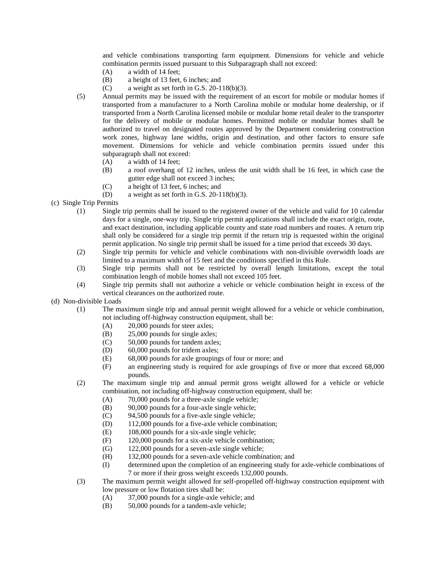and vehicle combinations transporting farm equipment. Dimensions for vehicle and vehicle combination permits issued pursuant to this Subparagraph shall not exceed:

- (A) a width of 14 feet;
- (B) a height of 13 feet, 6 inches; and
- (C) a weight as set forth in G.S.  $20-118(b)(3)$ .
- (5) Annual permits may be issued with the requirement of an escort for mobile or modular homes if transported from a manufacturer to a North Carolina mobile or modular home dealership, or if transported from a North Carolina licensed mobile or modular home retail dealer to the transporter for the delivery of mobile or modular homes. Permitted mobile or modular homes shall be authorized to travel on designated routes approved by the Department considering construction work zones, highway lane widths, origin and destination, and other factors to ensure safe movement. Dimensions for vehicle and vehicle combination permits issued under this subparagraph shall not exceed:
	- (A) a width of 14 feet;
	- (B) a roof overhang of 12 inches, unless the unit width shall be 16 feet, in which case the gutter edge shall not exceed 3 inches;
	- (C) a height of 13 feet, 6 inches; and
	- (D) a weight as set forth in G.S.  $20-118(b)(3)$ .
- (c) Single Trip Permits
	- (1) Single trip permits shall be issued to the registered owner of the vehicle and valid for 10 calendar days for a single, one-way trip. Single trip permit applications shall include the exact origin, route, and exact destination, including applicable county and state road numbers and routes. A return trip shall only be considered for a single trip permit if the return trip is requested within the original permit application. No single trip permit shall be issued for a time period that exceeds 30 days.
	- (2) Single trip permits for vehicle and vehicle combinations with non-divisible overwidth loads are limited to a maximum width of 15 feet and the conditions specified in this Rule.
	- (3) Single trip permits shall not be restricted by overall length limitations, except the total combination length of mobile homes shall not exceed 105 feet.
	- (4) Single trip permits shall not authorize a vehicle or vehicle combination height in excess of the vertical clearances on the authorized route.
- (d) Non-divisible Loads
	- (1) The maximum single trip and annual permit weight allowed for a vehicle or vehicle combination, not including off-highway construction equipment, shall be:
		- (A) 20,000 pounds for steer axles;
		- (B) 25,000 pounds for single axles;
		- (C) 50,000 pounds for tandem axles;
		- (D) 60,000 pounds for tridem axles;
		- (E) 68,000 pounds for axle groupings of four or more; and
		- (F) an engineering study is required for axle groupings of five or more that exceed 68,000 pounds.
	- (2) The maximum single trip and annual permit gross weight allowed for a vehicle or vehicle combination, not including off-highway construction equipment, shall be:
		- (A) 70,000 pounds for a three-axle single vehicle;
		- (B) 90,000 pounds for a four-axle single vehicle;
		- (C) 94,500 pounds for a five-axle single vehicle;
		- (D) 112,000 pounds for a five-axle vehicle combination;
		- (E) 108,000 pounds for a six-axle single vehicle;
		- (F) 120,000 pounds for a six-axle vehicle combination;
		- (G) 122,000 pounds for a seven-axle single vehicle;
		- (H) 132,000 pounds for a seven-axle vehicle combination; and
		- (I) determined upon the completion of an engineering study for axle-vehicle combinations of 7 or more if their gross weight exceeds 132,000 pounds.
	- (3) The maximum permit weight allowed for self-propelled off-highway construction equipment with low pressure or low flotation tires shall be:
		- (A) 37,000 pounds for a single-axle vehicle; and
		- (B) 50,000 pounds for a tandem-axle vehicle;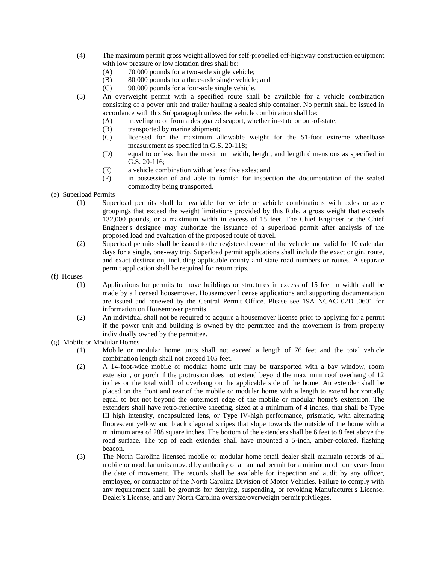- (4) The maximum permit gross weight allowed for self-propelled off-highway construction equipment with low pressure or low flotation tires shall be:
	- (A) 70,000 pounds for a two-axle single vehicle;
	- (B) 80,000 pounds for a three-axle single vehicle; and
	- (C) 90,000 pounds for a four-axle single vehicle.
- (5) An overweight permit with a specified route shall be available for a vehicle combination consisting of a power unit and trailer hauling a sealed ship container. No permit shall be issued in accordance with this Subparagraph unless the vehicle combination shall be:
	- (A) traveling to or from a designated seaport, whether in-state or out-of-state;
	- (B) transported by marine shipment;
	- (C) licensed for the maximum allowable weight for the 51-foot extreme wheelbase measurement as specified in G.S. 20-118;
	- (D) equal to or less than the maximum width, height, and length dimensions as specified in G.S. 20-116;
	- (E) a vehicle combination with at least five axles; and
	- (F) in possession of and able to furnish for inspection the documentation of the sealed commodity being transported.
- (e) Superload Permits
	- (1) Superload permits shall be available for vehicle or vehicle combinations with axles or axle groupings that exceed the weight limitations provided by this Rule, a gross weight that exceeds 132,000 pounds, or a maximum width in excess of 15 feet. The Chief Engineer or the Chief Engineer's designee may authorize the issuance of a superload permit after analysis of the proposed load and evaluation of the proposed route of travel.
	- (2) Superload permits shall be issued to the registered owner of the vehicle and valid for 10 calendar days for a single, one-way trip. Superload permit applications shall include the exact origin, route, and exact destination, including applicable county and state road numbers or routes. A separate permit application shall be required for return trips.
- (f) Houses
	- (1) Applications for permits to move buildings or structures in excess of 15 feet in width shall be made by a licensed housemover. Housemover license applications and supporting documentation are issued and renewed by the Central Permit Office. Please see 19A NCAC 02D .0601 for information on Housemover permits.
	- (2) An individual shall not be required to acquire a housemover license prior to applying for a permit if the power unit and building is owned by the permittee and the movement is from property individually owned by the permittee.
- (g) Mobile or Modular Homes
	- (1) Mobile or modular home units shall not exceed a length of 76 feet and the total vehicle combination length shall not exceed 105 feet.
	- (2) A 14-foot-wide mobile or modular home unit may be transported with a bay window, room extension, or porch if the protrusion does not extend beyond the maximum roof overhang of 12 inches or the total width of overhang on the applicable side of the home. An extender shall be placed on the front and rear of the mobile or modular home with a length to extend horizontally equal to but not beyond the outermost edge of the mobile or modular home's extension. The extenders shall have retro-reflective sheeting, sized at a minimum of 4 inches, that shall be Type III high intensity, encapsulated lens, or Type IV-high performance, prismatic, with alternating fluorescent yellow and black diagonal stripes that slope towards the outside of the home with a minimum area of 288 square inches. The bottom of the extenders shall be 6 feet to 8 feet above the road surface. The top of each extender shall have mounted a 5-inch, amber-colored, flashing beacon.
	- (3) The North Carolina licensed mobile or modular home retail dealer shall maintain records of all mobile or modular units moved by authority of an annual permit for a minimum of four years from the date of movement. The records shall be available for inspection and audit by any officer, employee, or contractor of the North Carolina Division of Motor Vehicles. Failure to comply with any requirement shall be grounds for denying, suspending, or revoking Manufacturer's License, Dealer's License, and any North Carolina oversize/overweight permit privileges.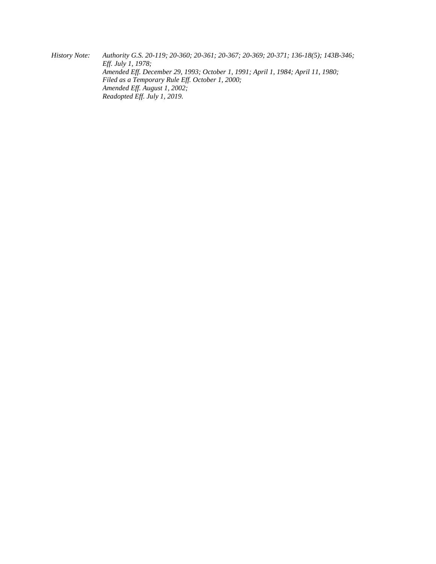*History Note: Authority G.S. 20-119; 20-360; 20-361; 20-367; 20-369; 20-371; 136-18(5); 143B-346; Eff. July 1, 1978; Amended Eff. December 29, 1993; October 1, 1991; April 1, 1984; April 11, 1980; Filed as a Temporary Rule Eff. October 1, 2000; Amended Eff. August 1, 2002; Readopted Eff. July 1, 2019.*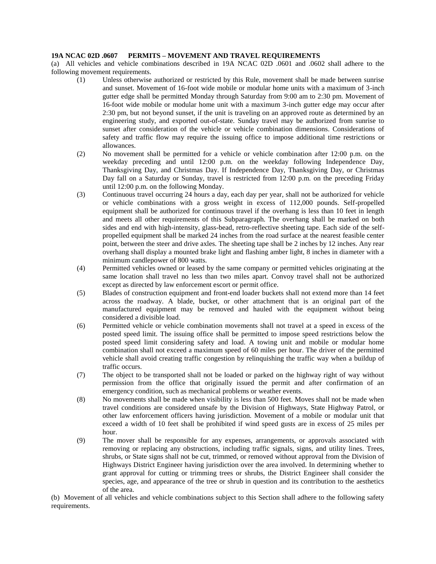#### **19A NCAC 02D .0607 PERMITS – MOVEMENT AND TRAVEL REQUIREMENTS**

(a) All vehicles and vehicle combinations described in 19A NCAC 02D .0601 and .0602 shall adhere to the following movement requirements.

- (1) Unless otherwise authorized or restricted by this Rule, movement shall be made between sunrise and sunset. Movement of 16-foot wide mobile or modular home units with a maximum of 3-inch gutter edge shall be permitted Monday through Saturday from 9:00 am to 2:30 pm. Movement of 16-foot wide mobile or modular home unit with a maximum 3-inch gutter edge may occur after 2:30 pm, but not beyond sunset, if the unit is traveling on an approved route as determined by an engineering study, and exported out-of-state. Sunday travel may be authorized from sunrise to sunset after consideration of the vehicle or vehicle combination dimensions. Considerations of safety and traffic flow may require the issuing office to impose additional time restrictions or allowances.
- (2) No movement shall be permitted for a vehicle or vehicle combination after 12:00 p.m. on the weekday preceding and until 12:00 p.m. on the weekday following Independence Day, Thanksgiving Day, and Christmas Day. If Independence Day, Thanksgiving Day, or Christmas Day fall on a Saturday or Sunday, travel is restricted from 12:00 p.m. on the preceding Friday until 12:00 p.m. on the following Monday.
- (3) Continuous travel occurring 24 hours a day, each day per year, shall not be authorized for vehicle or vehicle combinations with a gross weight in excess of 112,000 pounds. Self-propelled equipment shall be authorized for continuous travel if the overhang is less than 10 feet in length and meets all other requirements of this Subparagraph. The overhang shall be marked on both sides and end with high-intensity, glass-bead, retro-reflective sheeting tape. Each side of the selfpropelled equipment shall be marked 24 inches from the road surface at the nearest feasible center point, between the steer and drive axles. The sheeting tape shall be 2 inches by 12 inches. Any rear overhang shall display a mounted brake light and flashing amber light, 8 inches in diameter with a minimum candlepower of 800 watts.
- (4) Permitted vehicles owned or leased by the same company or permitted vehicles originating at the same location shall travel no less than two miles apart. Convoy travel shall not be authorized except as directed by law enforcement escort or permit office.
- (5) Blades of construction equipment and front-end loader buckets shall not extend more than 14 feet across the roadway. A blade, bucket, or other attachment that is an original part of the manufactured equipment may be removed and hauled with the equipment without being considered a divisible load.
- (6) Permitted vehicle or vehicle combination movements shall not travel at a speed in excess of the posted speed limit. The issuing office shall be permitted to impose speed restrictions below the posted speed limit considering safety and load. A towing unit and mobile or modular home combination shall not exceed a maximum speed of 60 miles per hour. The driver of the permitted vehicle shall avoid creating traffic congestion by relinquishing the traffic way when a buildup of traffic occurs.
- (7) The object to be transported shall not be loaded or parked on the highway right of way without permission from the office that originally issued the permit and after confirmation of an emergency condition, such as mechanical problems or weather events.
- (8) No movements shall be made when visibility is less than 500 feet. Moves shall not be made when travel conditions are considered unsafe by the Division of Highways, State Highway Patrol, or other law enforcement officers having jurisdiction. Movement of a mobile or modular unit that exceed a width of 10 feet shall be prohibited if wind speed gusts are in excess of 25 miles per hour.
- (9) The mover shall be responsible for any expenses, arrangements, or approvals associated with removing or replacing any obstructions, including traffic signals, signs, and utility lines. Trees, shrubs, or State signs shall not be cut, trimmed, or removed without approval from the Division of Highways District Engineer having jurisdiction over the area involved. In determining whether to grant approval for cutting or trimming trees or shrubs, the District Engineer shall consider the species, age, and appearance of the tree or shrub in question and its contribution to the aesthetics of the area.

(b) Movement of all vehicles and vehicle combinations subject to this Section shall adhere to the following safety requirements.